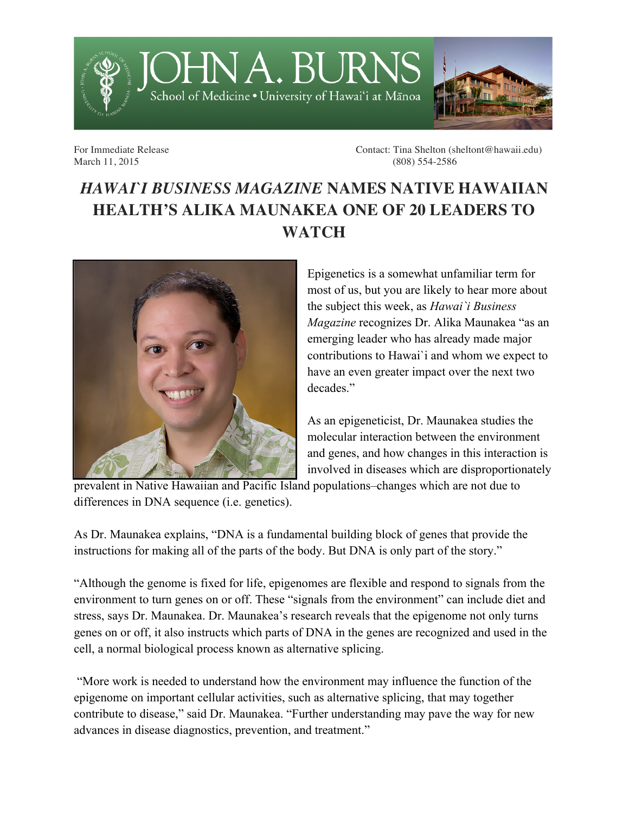

For Immediate Release Contact: Tina Shelton (sheltont@hawaii.edu) March 11, 2015 (808) 554-2586

## *HAWAI`I BUSINESS MAGAZINE* **NAMES NATIVE HAWAIIAN HEALTH'S ALIKA MAUNAKEA ONE OF 20 LEADERS TO WATCH**



Epigenetics is a somewhat unfamiliar term for most of us, but you are likely to hear more about the subject this week, as *Hawai`i Business Magazine* recognizes Dr. Alika Maunakea "as an emerging leader who has already made major contributions to Hawai`i and whom we expect to have an even greater impact over the next two decades."

As an epigeneticist, Dr. Maunakea studies the molecular interaction between the environment and genes, and how changes in this interaction is involved in diseases which are disproportionately

prevalent in Native Hawaiian and Pacific Island populations–changes which are not due to differences in DNA sequence (i.e. genetics).

As Dr. Maunakea explains, "DNA is a fundamental building block of genes that provide the instructions for making all of the parts of the body. But DNA is only part of the story."

"Although the genome is fixed for life, epigenomes are flexible and respond to signals from the environment to turn genes on or off. These "signals from the environment" can include diet and stress, says Dr. Maunakea. Dr. Maunakea's research reveals that the epigenome not only turns genes on or off, it also instructs which parts of DNA in the genes are recognized and used in the cell, a normal biological process known as alternative splicing.

"More work is needed to understand how the environment may influence the function of the epigenome on important cellular activities, such as alternative splicing, that may together contribute to disease," said Dr. Maunakea. "Further understanding may pave the way for new advances in disease diagnostics, prevention, and treatment."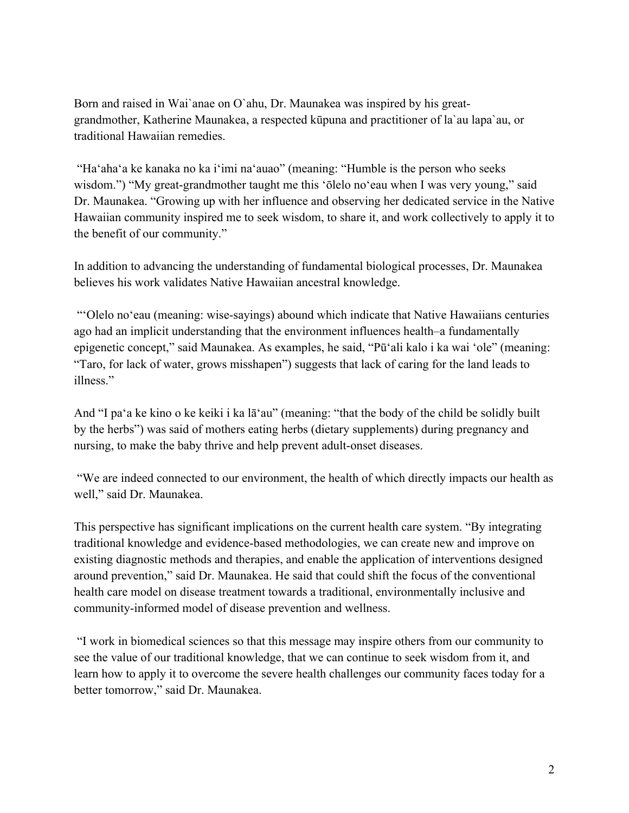Born and raised in Wai`anae on O`ahu, Dr. Maunakea was inspired by his greatgrandmother, Katherine Maunakea, a respected kūpuna and practitioner of la`au lapa`au, or traditional Hawaiian remedies.

"Ha'aha'a ke kanaka no ka i'imi na'auao" (meaning: "Humble is the person who seeks wisdom.") "My great-grandmother taught me this 'ōlelo no'eau when I was very young," said Dr. Maunakea. "Growing up with her influence and observing her dedicated service in the Native Hawaiian community inspired me to seek wisdom, to share it, and work collectively to apply it to the benefit of our community."

In addition to advancing the understanding of fundamental biological processes, Dr. Maunakea believes his work validates Native Hawaiian ancestral knowledge.

"ʻOlelo noʻeau (meaning: wise-sayings) abound which indicate that Native Hawaiians centuries ago had an implicit understanding that the environment influences health–a fundamentally epigenetic concept," said Maunakea. As examples, he said, "Pūʻali kalo i ka wai ʻole" (meaning: "Taro, for lack of water, grows misshapen") suggests that lack of caring for the land leads to illness."

And "I paʻa ke kino o ke keiki i ka lāʻau" (meaning: "that the body of the child be solidly built by the herbs") was said of mothers eating herbs (dietary supplements) during pregnancy and nursing, to make the baby thrive and help prevent adult-onset diseases.

"We are indeed connected to our environment, the health of which directly impacts our health as well," said Dr. Maunakea.

This perspective has significant implications on the current health care system. "By integrating traditional knowledge and evidence-based methodologies, we can create new and improve on existing diagnostic methods and therapies, and enable the application of interventions designed around prevention," said Dr. Maunakea. He said that could shift the focus of the conventional health care model on disease treatment towards a traditional, environmentally inclusive and community-informed model of disease prevention and wellness.

"I work in biomedical sciences so that this message may inspire others from our community to see the value of our traditional knowledge, that we can continue to seek wisdom from it, and learn how to apply it to overcome the severe health challenges our community faces today for a better tomorrow," said Dr. Maunakea.